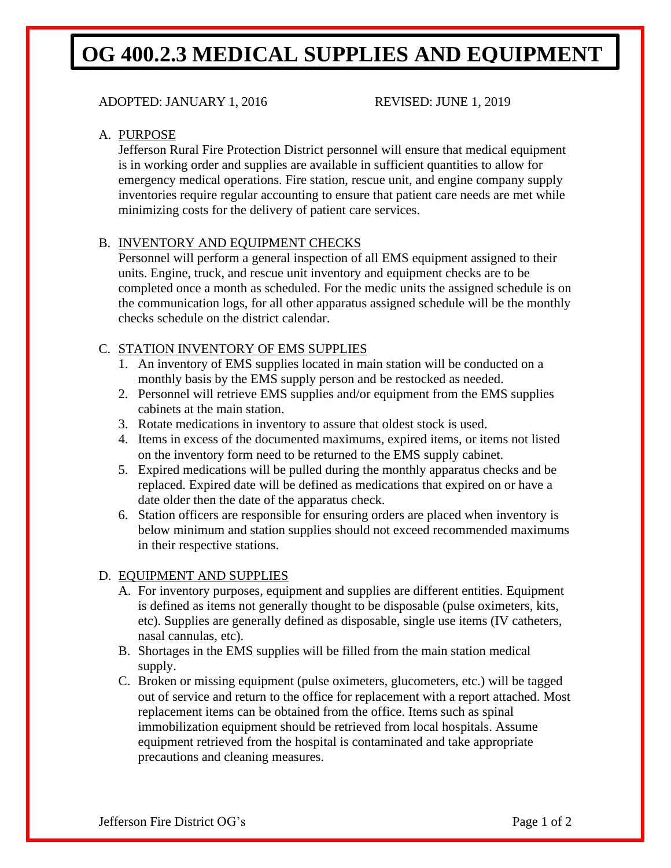## **OG 400.2.3 MEDICAL SUPPLIES AND EQUIPMENT**

### ADOPTED: JANUARY 1, 2016 REVISED: JUNE 1, 2019

#### A. PURPOSE

Jefferson Rural Fire Protection District personnel will ensure that medical equipment is in working order and supplies are available in sufficient quantities to allow for emergency medical operations. Fire station, rescue unit, and engine company supply inventories require regular accounting to ensure that patient care needs are met while minimizing costs for the delivery of patient care services.

#### B. INVENTORY AND EQUIPMENT CHECKS

Personnel will perform a general inspection of all EMS equipment assigned to their units. Engine, truck, and rescue unit inventory and equipment checks are to be completed once a month as scheduled. For the medic units the assigned schedule is on the communication logs, for all other apparatus assigned schedule will be the monthly checks schedule on the district calendar.

#### C. STATION INVENTORY OF EMS SUPPLIES

- 1. An inventory of EMS supplies located in main station will be conducted on a monthly basis by the EMS supply person and be restocked as needed.
- 2. Personnel will retrieve EMS supplies and/or equipment from the EMS supplies cabinets at the main station.
- 3. Rotate medications in inventory to assure that oldest stock is used.
- 4. Items in excess of the documented maximums, expired items, or items not listed on the inventory form need to be returned to the EMS supply cabinet.
- 5. Expired medications will be pulled during the monthly apparatus checks and be replaced. Expired date will be defined as medications that expired on or have a date older then the date of the apparatus check.
- 6. Station officers are responsible for ensuring orders are placed when inventory is below minimum and station supplies should not exceed recommended maximums in their respective stations.

#### D. EQUIPMENT AND SUPPLIES

- A. For inventory purposes, equipment and supplies are different entities. Equipment is defined as items not generally thought to be disposable (pulse oximeters, kits, etc). Supplies are generally defined as disposable, single use items (IV catheters, nasal cannulas, etc).
- B. Shortages in the EMS supplies will be filled from the main station medical supply.
- C. Broken or missing equipment (pulse oximeters, glucometers, etc.) will be tagged out of service and return to the office for replacement with a report attached. Most replacement items can be obtained from the office. Items such as spinal immobilization equipment should be retrieved from local hospitals. Assume equipment retrieved from the hospital is contaminated and take appropriate precautions and cleaning measures.